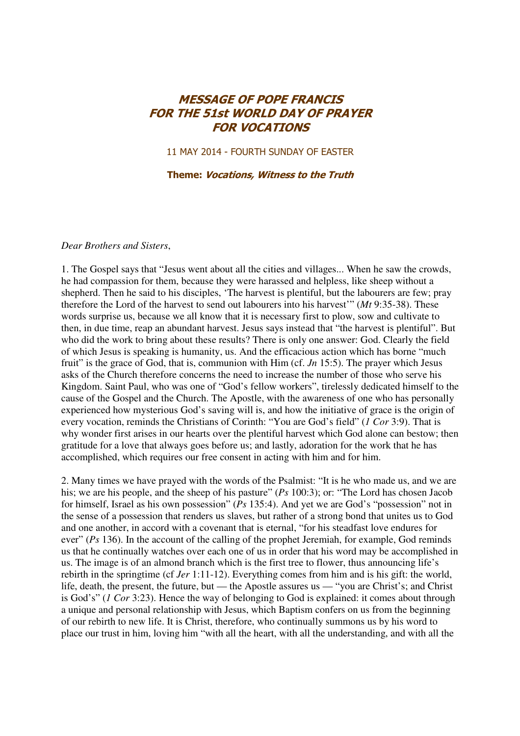## MESSAGE OF POPE FRANCIS FOR THE 51st WORLD DAY OF PRAYER FOR VOCATIONS

11 MAY 2014 - FOURTH SUNDAY OF EASTER

Theme: Vocations, Witness to the Truth

## *Dear Brothers and Sisters*,

1. The Gospel says that "Jesus went about all the cities and villages... When he saw the crowds, he had compassion for them, because they were harassed and helpless, like sheep without a shepherd. Then he said to his disciples, 'The harvest is plentiful, but the labourers are few; pray therefore the Lord of the harvest to send out labourers into his harvest'" (*Mt* 9:35-38). These words surprise us, because we all know that it is necessary first to plow, sow and cultivate to then, in due time, reap an abundant harvest. Jesus says instead that "the harvest is plentiful". But who did the work to bring about these results? There is only one answer: God. Clearly the field of which Jesus is speaking is humanity, us. And the efficacious action which has borne "much fruit" is the grace of God, that is, communion with Him (cf. *Jn* 15:5). The prayer which Jesus asks of the Church therefore concerns the need to increase the number of those who serve his Kingdom. Saint Paul, who was one of "God's fellow workers", tirelessly dedicated himself to the cause of the Gospel and the Church. The Apostle, with the awareness of one who has personally experienced how mysterious God's saving will is, and how the initiative of grace is the origin of every vocation, reminds the Christians of Corinth: "You are God's field" (*1 Cor* 3:9). That is why wonder first arises in our hearts over the plentiful harvest which God alone can bestow; then gratitude for a love that always goes before us; and lastly, adoration for the work that he has accomplished, which requires our free consent in acting with him and for him.

2. Many times we have prayed with the words of the Psalmist: "It is he who made us, and we are his; we are his people, and the sheep of his pasture" (*Ps* 100:3); or: "The Lord has chosen Jacob for himself, Israel as his own possession" (*Ps* 135:4). And yet we are God's "possession" not in the sense of a possession that renders us slaves, but rather of a strong bond that unites us to God and one another, in accord with a covenant that is eternal, "for his steadfast love endures for ever" (*Ps* 136). In the account of the calling of the prophet Jeremiah, for example, God reminds us that he continually watches over each one of us in order that his word may be accomplished in us. The image is of an almond branch which is the first tree to flower, thus announcing life's rebirth in the springtime (cf *Jer* 1:11-12). Everything comes from him and is his gift: the world, life, death, the present, the future, but — the Apostle assures us — "you are Christ's; and Christ is God's" (*1 Cor* 3:23). Hence the way of belonging to God is explained: it comes about through a unique and personal relationship with Jesus, which Baptism confers on us from the beginning of our rebirth to new life. It is Christ, therefore, who continually summons us by his word to place our trust in him, loving him "with all the heart, with all the understanding, and with all the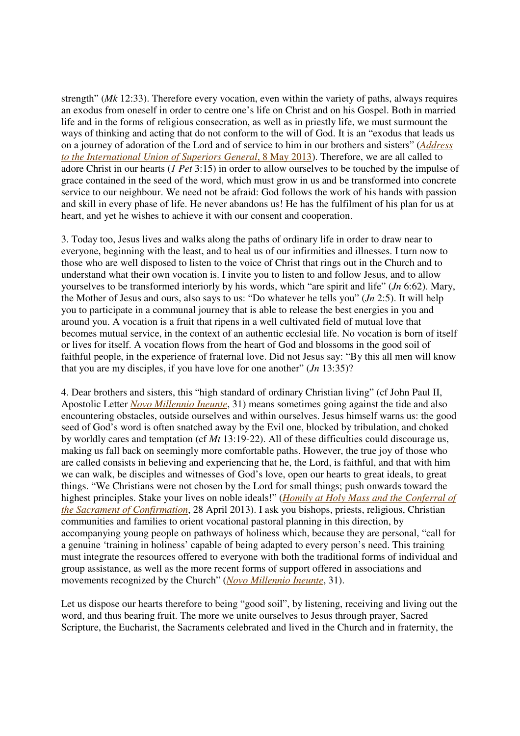strength" (*Mk* 12:33). Therefore every vocation, even within the variety of paths, always requires an exodus from oneself in order to centre one's life on Christ and on his Gospel. Both in married life and in the forms of religious consecration, as well as in priestly life, we must surmount the ways of thinking and acting that do not conform to the will of God. It is an "exodus that leads us on a journey of adoration of the Lord and of service to him in our brothers and sisters" (*Address to the International Union of Superiors General*, 8 May 2013). Therefore, we are all called to adore Christ in our hearts (*1 Pet* 3:15) in order to allow ourselves to be touched by the impulse of grace contained in the seed of the word, which must grow in us and be transformed into concrete service to our neighbour. We need not be afraid: God follows the work of his hands with passion and skill in every phase of life. He never abandons us! He has the fulfilment of his plan for us at heart, and yet he wishes to achieve it with our consent and cooperation.

3. Today too, Jesus lives and walks along the paths of ordinary life in order to draw near to everyone, beginning with the least, and to heal us of our infirmities and illnesses. I turn now to those who are well disposed to listen to the voice of Christ that rings out in the Church and to understand what their own vocation is. I invite you to listen to and follow Jesus, and to allow yourselves to be transformed interiorly by his words, which "are spirit and life" (*Jn* 6:62). Mary, the Mother of Jesus and ours, also says to us: "Do whatever he tells you" (*Jn* 2:5). It will help you to participate in a communal journey that is able to release the best energies in you and around you. A vocation is a fruit that ripens in a well cultivated field of mutual love that becomes mutual service, in the context of an authentic ecclesial life. No vocation is born of itself or lives for itself. A vocation flows from the heart of God and blossoms in the good soil of faithful people, in the experience of fraternal love. Did not Jesus say: "By this all men will know that you are my disciples, if you have love for one another" (*Jn* 13:35)?

4. Dear brothers and sisters, this "high standard of ordinary Christian living" (cf John Paul II, Apostolic Letter *Novo Millennio Ineunte*, 31) means sometimes going against the tide and also encountering obstacles, outside ourselves and within ourselves. Jesus himself warns us: the good seed of God's word is often snatched away by the Evil one, blocked by tribulation, and choked by worldly cares and temptation (cf *Mt* 13:19-22). All of these difficulties could discourage us, making us fall back on seemingly more comfortable paths. However, the true joy of those who are called consists in believing and experiencing that he, the Lord, is faithful, and that with him we can walk, be disciples and witnesses of God's love, open our hearts to great ideals, to great things. "We Christians were not chosen by the Lord for small things; push onwards toward the highest principles. Stake your lives on noble ideals!" (*Homily at Holy Mass and the Conferral of the Sacrament of Confirmation*, 28 April 2013). I ask you bishops, priests, religious, Christian communities and families to orient vocational pastoral planning in this direction, by accompanying young people on pathways of holiness which, because they are personal, "call for a genuine 'training in holiness' capable of being adapted to every person's need. This training must integrate the resources offered to everyone with both the traditional forms of individual and group assistance, as well as the more recent forms of support offered in associations and movements recognized by the Church" (*Novo Millennio Ineunte*, 31).

Let us dispose our hearts therefore to being "good soil", by listening, receiving and living out the word, and thus bearing fruit. The more we unite ourselves to Jesus through prayer, Sacred Scripture, the Eucharist, the Sacraments celebrated and lived in the Church and in fraternity, the